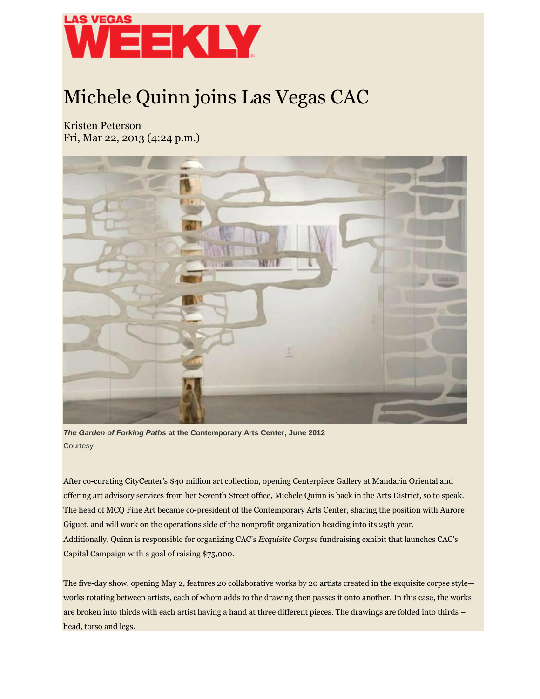

## Michele Quinn joins Las Vegas CAC

Kristen Peterson Fri, Mar 22, 2013 (4:24 p.m.)



*The Garden of Forking Paths* **at the Contemporary Arts Center, June 2012 Courtesy** 

After co-curating CityCenter's \$40 million art collection, opening Centerpiece Gallery at Mandarin Oriental and offering art advisory services from her Seventh Street office, Michele Quinn is back in the Arts District, so to speak. The head of MCQ Fine Art became co-president of the Contemporary Arts Center, sharing the position with Aurore Giguet, and will work on the operations side of the nonprofit organization heading into its 25th year. Additionally, Quinn is responsible for organizing CAC's *Exquisite Corpse* fundraising exhibit that launches CAC's Capital Campaign with a goal of raising \$75,000.

The five-day show, opening May 2, features 20 collaborative works by 20 artists created in the exquisite corpse style works rotating between artists, each of whom adds to the drawing then passes it onto another. In this case, the works are broken into thirds with each artist having a hand at three different pieces. The drawings are folded into thirds – head, torso and legs.